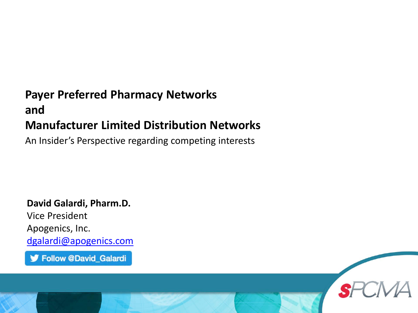#### **Payer Preferred Pharmacy Networks and Manufacturer Limited Distribution Networks**

An Insider's Perspective regarding competing interests

**David Galardi, Pharm.D.** Vice President Apogenics, Inc. [dgalardi@apogenics.com](mailto:dgalardi@apogenics.com)

Follow @David\_Galardi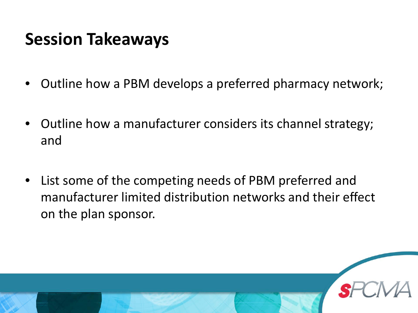#### **Session Takeaways**

- Outline how a PBM develops a preferred pharmacy network;
- Outline how a manufacturer considers its channel strategy; and
- List some of the competing needs of PBM preferred and manufacturer limited distribution networks and their effect on the plan sponsor.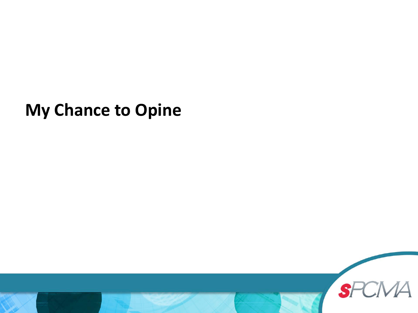#### **My Chance to Opine**

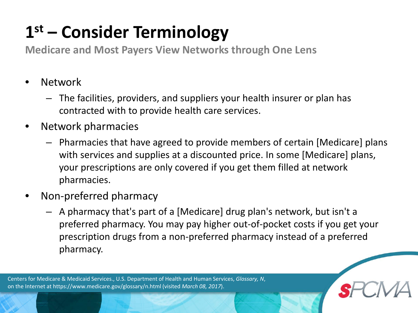# **1st – Consider Terminology**

**Medicare and Most Payers View Networks through One Lens**

- Network
	- The facilities, providers, and suppliers your health insurer or plan has contracted with to provide health care services.
- Network pharmacies
	- Pharmacies that have agreed to provide members of certain [Medicare] plans with services and supplies at a discounted price. In some [Medicare] plans, your prescriptions are only covered if you get them filled at network pharmacies.
- Non-preferred pharmacy
	- A pharmacy that's part of a [Medicare] drug plan's network, but isn't a preferred pharmacy. You may pay higher out-of-pocket costs if you get your prescription drugs from a non-preferred pharmacy instead of a preferred pharmacy.

Centers for Medicare & Medicaid Services., U.S. Department of Health and Human Services, *Glossary, N*, on the Internet at https://www.medicare.gov/glossary/n.html (visited *March 08, 2017*).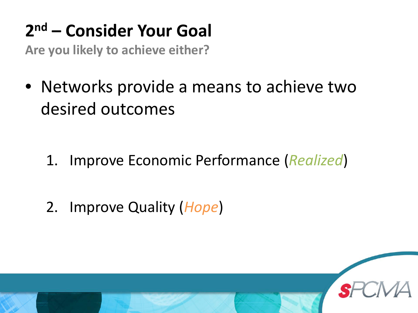# **2nd – Consider Your Goal**

**Are you likely to achieve either?**

• Networks provide a means to achieve two desired outcomes

- 1. Improve Economic Performance (*Realized*)
- 2. Improve Quality (*Hope*)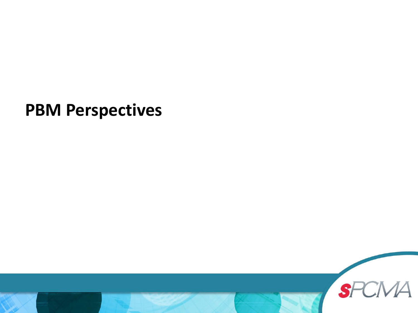#### **PBM Perspectives**

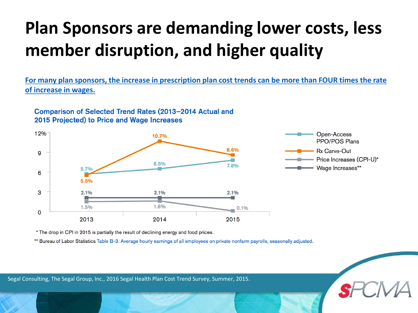# **Plan Sponsors are demanding lower costs, less member disruption, and higher quality**

**For many plan sponsors, the increase in prescription plan cost trends can be more than FOUR times the rate of increase in wages.** 

Comparison of Selected Trend Rates (2013-2014 Actual and 2015 Projected) to Price and Wage Increases



\* The drop in CPI in 2015 is partially the result of declining energy and food prices.

\*\* Bureau of Labor Statistics Table B-3. Average hourly earnings of all employees on private nonfarm payrolls, seasonally adjusted.

Segal Consulting, The Segal Group, Inc., 2016 Segal Health Plan Cost Trend Survey, Summer, 2015.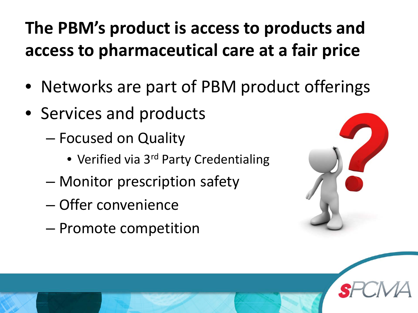# **The PBM's product is access to products and access to pharmaceutical care at a fair price**

- Networks are part of PBM product offerings
- Services and products
	- Focused on Quality
		- Verified via 3<sup>rd</sup> Party Credentialing
	- Monitor prescription safety
	- Offer convenience
	- Promote competition

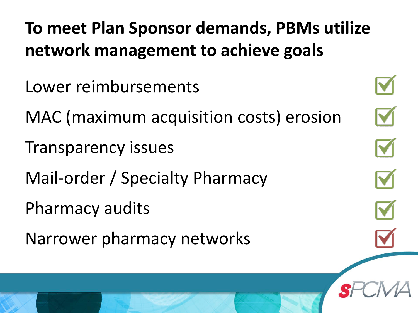**To meet Plan Sponsor demands, PBMs utilize network management to achieve goals**

- Lower reimbursements
- MAC (maximum acquisition costs) erosion
- Transparency issues
- Mail-order / Specialty Pharmacy
- Pharmacy audits
- Narrower pharmacy networks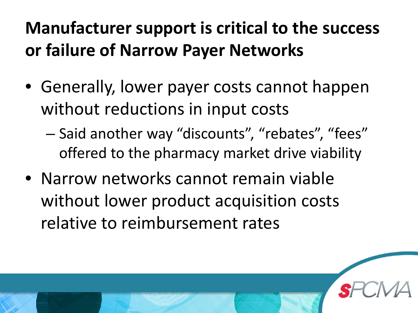# **Manufacturer support is critical to the success or failure of Narrow Payer Networks**

- Generally, lower payer costs cannot happen without reductions in input costs
	- Said another way "discounts", "rebates", "fees" offered to the pharmacy market drive viability
- Narrow networks cannot remain viable without lower product acquisition costs relative to reimbursement rates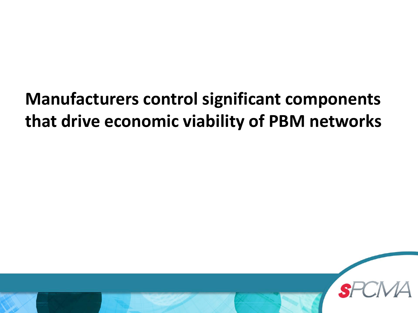## **Manufacturers control significant components that drive economic viability of PBM networks**

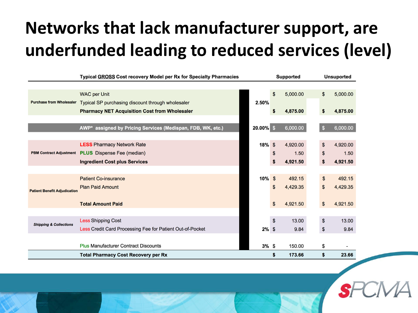# **Networks that lack manufacturer support, are underfunded leading to reduced services (level)**

|                                     | Typical GROSS Cost recovery Model per Rx for Specialty Pharmacies |           | Supported |          |    | <b>Unsuported</b> |  |
|-------------------------------------|-------------------------------------------------------------------|-----------|-----------|----------|----|-------------------|--|
|                                     |                                                                   |           |           |          |    |                   |  |
|                                     | <b>WAC per Unit</b>                                               |           | \$        | 5,000.00 | \$ | 5,000.00          |  |
| <b>Purchase from Wholesaler</b>     | Typical SP purchasing discount through wholesaler                 | 2.50%     |           |          |    |                   |  |
|                                     | <b>Pharmacy NET Acquisition Cost from Wholesaler</b>              |           | \$        | 4,875.00 | \$ | 4,875.00          |  |
|                                     |                                                                   |           |           |          |    |                   |  |
|                                     | AWP* assigned by Pricing Services (Medispan, FDB, WK, etc.)       | 20.00% \$ |           | 6,000.00 | S  | 6,000.00          |  |
|                                     |                                                                   |           |           |          |    |                   |  |
|                                     | <b>LESS Pharmacy Network Rate</b>                                 | $18%$ \$  |           | 4,920.00 | \$ | 4,920.00          |  |
| <b>PBM Contract Adjustment</b>      | <b>PLUS</b> Dispense Fee (median)                                 |           | \$        | 1.50     | \$ | 1.50              |  |
|                                     | <b>Ingredient Cost plus Services</b>                              |           | \$        | 4,921.50 | \$ | 4,921.50          |  |
|                                     |                                                                   |           |           |          |    |                   |  |
|                                     | <b>Patient Co-insurance</b>                                       | $10\%$ \$ |           | 492.15   | \$ | 492.15            |  |
| <b>Patient Benefit Adjudication</b> | <b>Plan Paid Amount</b>                                           |           | \$        | 4,429.35 | \$ | 4,429.35          |  |
|                                     |                                                                   |           |           |          |    |                   |  |
|                                     | <b>Total Amount Paid</b>                                          |           | \$        | 4,921.50 | \$ | 4,921.50          |  |
|                                     |                                                                   |           |           |          |    |                   |  |
| <b>Shipping &amp; Collections</b>   | <b>Less Shipping Cost</b>                                         |           | \$        | 13.00    | \$ | 13.00             |  |
|                                     | Less Credit Card Processing Fee for Patient Out-of-Pocket         | $2\%$ \$  |           | 9.84     | \$ | 9.84              |  |
|                                     |                                                                   |           |           |          |    |                   |  |
|                                     | <b>Plus Manufacturer Contract Discounts</b>                       | 3%S       |           | 150.00   | \$ |                   |  |
|                                     | <b>Total Pharmacy Cost Recovery per Rx</b>                        |           | \$        | 173.66   | \$ | 23.66             |  |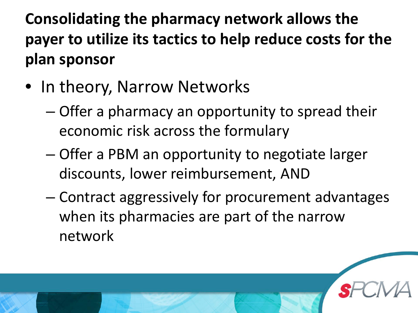**Consolidating the pharmacy network allows the payer to utilize its tactics to help reduce costs for the plan sponsor**

- In theory, Narrow Networks
	- Offer a pharmacy an opportunity to spread their economic risk across the formulary
	- Offer a PBM an opportunity to negotiate larger discounts, lower reimbursement, AND
	- Contract aggressively for procurement advantages when its pharmacies are part of the narrow network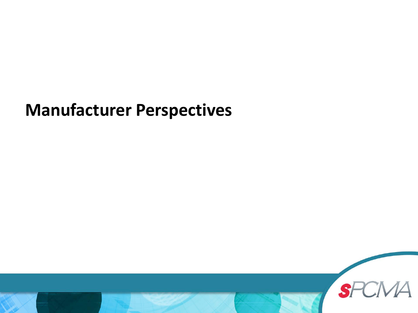### **Manufacturer Perspectives**

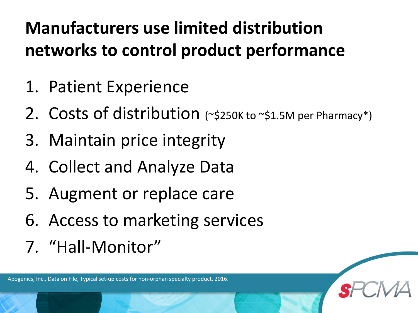# **Manufacturers use limited distribution networks to control product performance**

- 1. Patient Experience
- 2. Costs of distribution (~\$250K to ~\$1.5M per Pharmacy\*)
- 3. Maintain price integrity
- 4. Collect and Analyze Data
- 5. Augment or replace care
- 6. Access to marketing services
- 7. "Hall-Monitor"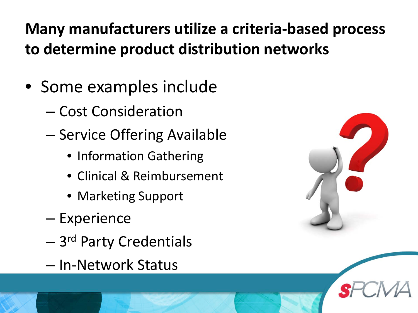### **Many manufacturers utilize a criteria-based process to determine product distribution networks**

- Some examples include
	- Cost Consideration
	- Service Offering Available
		- Information Gathering
		- Clinical & Reimbursement
		- Marketing Support
	- Experience
	- 3rd Party Credentials
	- In-Network Status

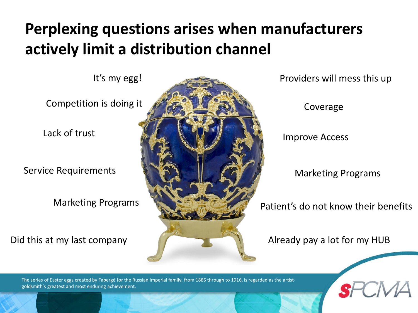#### **Perplexing questions arises when manufacturers actively limit a distribution channel**

Competition is doing it

Lack of trust

Service Requirements

Marketing Programs

Did this at my last company



Coverage

Improve Access

Marketing Programs

Patient's do not know their benefits

Already pay a lot for my HUB

The series of Easter eggs created by Fabergé for the Russian Imperial family, from 1885 through to 1916, is regarded as the artistgoldsmith's greatest and most enduring achievement.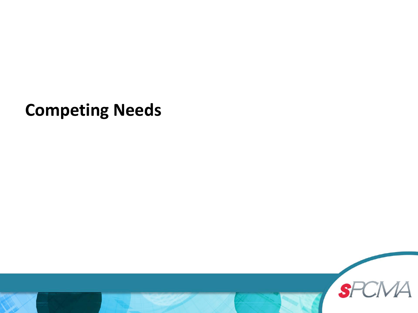**Competing Needs**

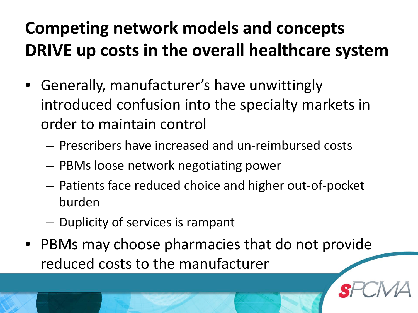# **Competing network models and concepts DRIVE up costs in the overall healthcare system**

- Generally, manufacturer's have unwittingly introduced confusion into the specialty markets in order to maintain control
	- Prescribers have increased and un-reimbursed costs
	- PBMs loose network negotiating power
	- Patients face reduced choice and higher out-of-pocket burden
	- Duplicity of services is rampant
- PBMs may choose pharmacies that do not provide reduced costs to the manufacturer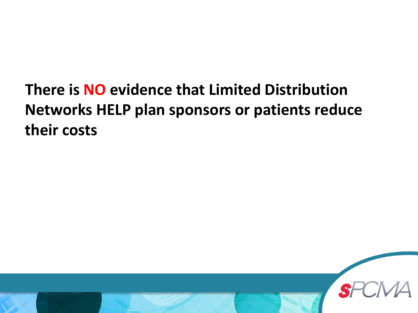### **There is NO evidence that Limited Distribution Networks HELP plan sponsors or patients reduce their costs**

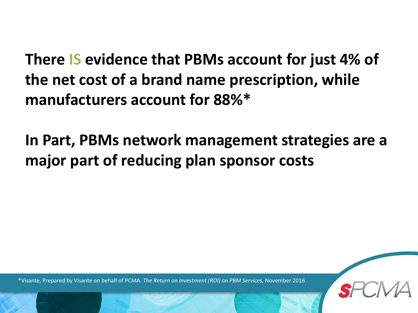**There IS evidence that PBMs account for just 4% of the net cost of a brand name prescription, while manufacturers account for 88%\***

**In Part, PBMs network management strategies are a major part of reducing plan sponsor costs**

\*Visante, Prepared by Visante on behalf of PCMA. *The Return on Investment (ROI) on PBM Services,* November 2016

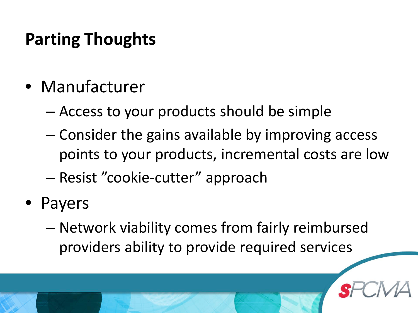### **Parting Thoughts**

- Manufacturer
	- Access to your products should be simple
	- Consider the gains available by improving access points to your products, incremental costs are low
	- Resist "cookie-cutter" approach
- **Payers** 
	- Network viability comes from fairly reimbursed providers ability to provide required services